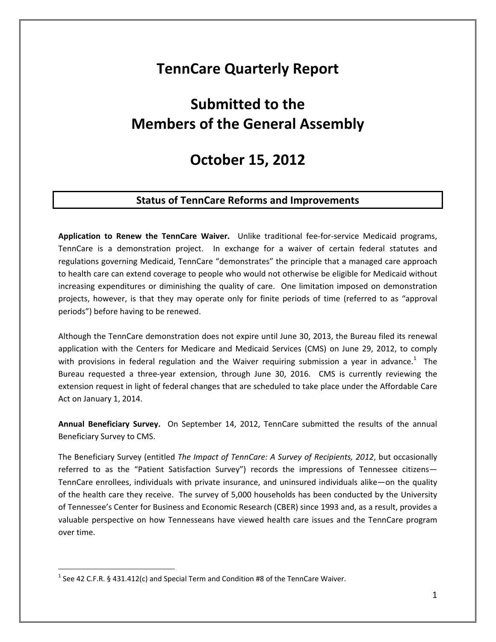## **TennCare Quarterly Report**

# **Submitted to the Members of the General Assembly**

## **October 15, 2012**

### **Status of TennCare Reforms and Improvements**

**Application to Renew the TennCare Waiver.**  Unlike traditional fee‐for‐service Medicaid programs, TennCare is a demonstration project. In exchange for a waiver of certain federal statutes and regulations governing Medicaid, TennCare "demonstrates" the principle that a managed care approach to health care can extend coverage to people who would not otherwise be eligible for Medicaid without increasing expenditures or diminishing the quality of care. One limitation imposed on demonstration projects, however, is that they may operate only for finite periods of time (referred to as "approval periods") before having to be renewed.

Although the TennCare demonstration does not expire until June 30, 2013, the Bureau filed its renewal application with the Centers for Medicare and Medicaid Services (CMS) on June 29, 2012, to comply with provisions in federal regulation and the Waiver requiring submission a year in advance.<sup>1</sup> The Bureau requested a three-year extension, through June 30, 2016. CMS is currently reviewing the extension request in light of federal changes that are scheduled to take place under the Affordable Care Act on January 1, 2014.

**Annual Beneficiary Survey.** On September 14, 2012, TennCare submitted the results of the annual Beneficiary Survey to CMS.

The Beneficiary Survey (entitled *The Impact of TennCare: A Survey of Recipients, 2012*, but occasionally referred to as the "Patient Satisfaction Survey") records the impressions of Tennessee citizens— TennCare enrollees, individuals with private insurance, and uninsured individuals alike—on the quality of the health care they receive. The survey of 5,000 households has been conducted by the University of Tennessee's Center for Business and Economic Research (CBER) since 1993 and, as a result, provides a valuable perspective on how Tennesseans have viewed health care issues and the TennCare program over time.

 $1$  See 42 C.F.R. § 431.412(c) and Special Term and Condition #8 of the TennCare Waiver.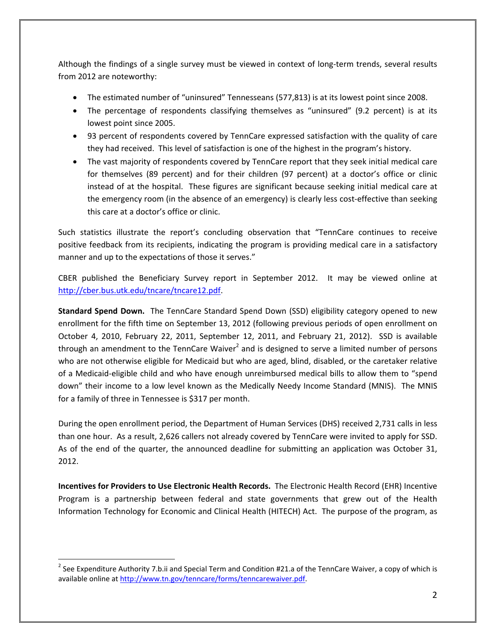Although the findings of a single survey must be viewed in context of long‐term trends, several results from 2012 are noteworthy:

- The estimated number of "uninsured" Tennesseans (577,813) is at its lowest point since 2008.
- The percentage of respondents classifying themselves as "uninsured" (9.2 percent) is at its lowest point since 2005.
- 93 percent of respondents covered by TennCare expressed satisfaction with the quality of care they had received. This level of satisfaction is one of the highest in the program's history.
- The vast majority of respondents covered by TennCare report that they seek initial medical care for themselves (89 percent) and for their children (97 percent) at a doctor's office or clinic instead of at the hospital. These figures are significant because seeking initial medical care at the emergency room (in the absence of an emergency) is clearly less cost-effective than seeking this care at a doctor's office or clinic.

Such statistics illustrate the report's concluding observation that "TennCare continues to receive positive feedback from its recipients, indicating the program is providing medical care in a satisfactory manner and up to the expectations of those it serves."

CBER published the Beneficiary Survey report in September 2012. It may be viewed online at http://cber.bus.utk.edu/tncare/tncare12.pdf.

**Standard Spend Down.** The TennCare Standard Spend Down (SSD) eligibility category opened to new enrollment for the fifth time on September 13, 2012 (following previous periods of open enrollment on October 4, 2010, February 22, 2011, September 12, 2011, and February 21, 2012). SSD is available through an amendment to the TennCare Waiver<sup>2</sup> and is designed to serve a limited number of persons who are not otherwise eligible for Medicaid but who are aged, blind, disabled, or the caretaker relative of a Medicaid‐eligible child and who have enough unreimbursed medical bills to allow them to "spend down" their income to a low level known as the Medically Needy Income Standard (MNIS). The MNIS for a family of three in Tennessee is \$317 per month.

During the open enrollment period, the Department of Human Services (DHS) received 2,731 calls in less than one hour. As a result, 2,626 callers not already covered by TennCare were invited to apply for SSD. As of the end of the quarter, the announced deadline for submitting an application was October 31, 2012.

**Incentives for Providers to Use Electronic Health Records.** The Electronic Health Record (EHR) Incentive Program is a partnership between federal and state governments that grew out of the Health Information Technology for Economic and Clinical Health (HITECH) Act. The purpose of the program, as

 $2$  See Expenditure Authority 7.b.ii and Special Term and Condition #21.a of the TennCare Waiver, a copy of which is available online at http://www.tn.gov/tenncare/forms/tenncarewaiver.pdf.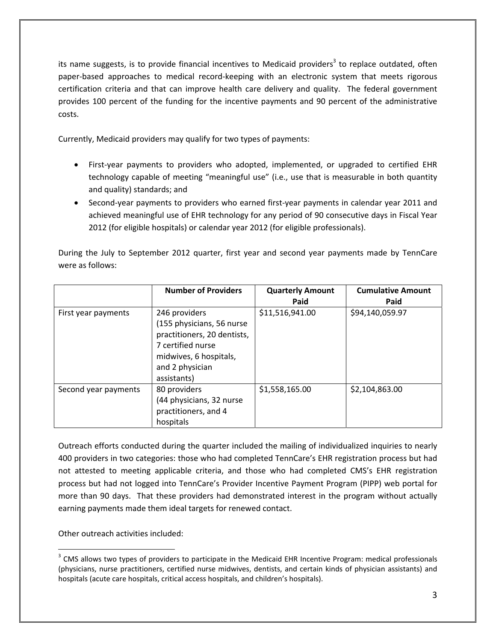its name suggests, is to provide financial incentives to Medicaid providers<sup>3</sup> to replace outdated, often paper-based approaches to medical record-keeping with an electronic system that meets rigorous certification criteria and that can improve health care delivery and quality. The federal government provides 100 percent of the funding for the incentive payments and 90 percent of the administrative costs.

Currently, Medicaid providers may qualify for two types of payments:

- First‐year payments to providers who adopted, implemented, or upgraded to certified EHR technology capable of meeting "meaningful use" (i.e., use that is measurable in both quantity and quality) standards; and
- Second-year payments to providers who earned first-year payments in calendar year 2011 and achieved meaningful use of EHR technology for any period of 90 consecutive days in Fiscal Year 2012 (for eligible hospitals) or calendar year 2012 (for eligible professionals).

During the July to September 2012 quarter, first year and second year payments made by TennCare were as follows:

|                      | <b>Number of Providers</b>                                                                                                                                 | <b>Quarterly Amount</b><br>Paid | <b>Cumulative Amount</b><br>Paid |
|----------------------|------------------------------------------------------------------------------------------------------------------------------------------------------------|---------------------------------|----------------------------------|
| First year payments  | 246 providers<br>(155 physicians, 56 nurse<br>practitioners, 20 dentists,<br>7 certified nurse<br>midwives, 6 hospitals,<br>and 2 physician<br>assistants) | \$11,516,941.00                 | \$94,140,059.97                  |
| Second year payments | 80 providers<br>(44 physicians, 32 nurse<br>practitioners, and 4<br>hospitals                                                                              | \$1,558,165.00                  | \$2,104,863.00                   |

Outreach efforts conducted during the quarter included the mailing of individualized inquiries to nearly 400 providers in two categories: those who had completed TennCare's EHR registration process but had not attested to meeting applicable criteria, and those who had completed CMS's EHR registration process but had not logged into TennCare's Provider Incentive Payment Program (PIPP) web portal for more than 90 days. That these providers had demonstrated interest in the program without actually earning payments made them ideal targets for renewed contact.

Other outreach activities included:

 <sup>3</sup> CMS allows two types of providers to participate in the Medicaid EHR Incentive Program: medical professionals (physicians, nurse practitioners, certified nurse midwives, dentists, and certain kinds of physician assistants) and hospitals (acute care hospitals, critical access hospitals, and children's hospitals).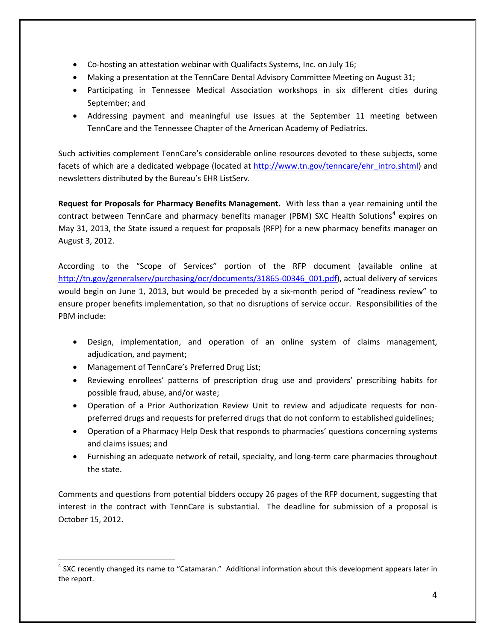- Co-hosting an attestation webinar with Qualifacts Systems, Inc. on July 16;
- Making a presentation at the TennCare Dental Advisory Committee Meeting on August 31;
- Participating in Tennessee Medical Association workshops in six different cities during September; and
- Addressing payment and meaningful use issues at the September 11 meeting between TennCare and the Tennessee Chapter of the American Academy of Pediatrics.

Such activities complement TennCare's considerable online resources devoted to these subjects, some facets of which are a dedicated webpage (located at http://www.tn.gov/tenncare/ehr\_intro.shtml) and newsletters distributed by the Bureau's EHR ListServ.

**Request for Proposals for Pharmacy Benefits Management.** With less than a year remaining until the contract between TennCare and pharmacy benefits manager (PBM) SXC Health Solutions<sup>4</sup> expires on May 31, 2013, the State issued a request for proposals (RFP) for a new pharmacy benefits manager on August 3, 2012.

According to the "Scope of Services" portion of the RFP document (available online at http://tn.gov/generalserv/purchasing/ocr/documents/31865-00346\_001.pdf), actual delivery of services would begin on June 1, 2013, but would be preceded by a six-month period of "readiness review" to ensure proper benefits implementation, so that no disruptions of service occur. Responsibilities of the PBM include:

- Design, implementation, and operation of an online system of claims management, adjudication, and payment;
- Management of TennCare's Preferred Drug List;
- Reviewing enrollees' patterns of prescription drug use and providers' prescribing habits for possible fraud, abuse, and/or waste;
- Operation of a Prior Authorization Review Unit to review and adjudicate requests for non‐ preferred drugs and requests for preferred drugs that do not conform to established guidelines;
- Operation of a Pharmacy Help Desk that responds to pharmacies' questions concerning systems and claims issues; and
- Furnishing an adequate network of retail, specialty, and long-term care pharmacies throughout the state.

Comments and questions from potential bidders occupy 26 pages of the RFP document, suggesting that interest in the contract with TennCare is substantial. The deadline for submission of a proposal is October 15, 2012.

  $4$  SXC recently changed its name to "Catamaran." Additional information about this development appears later in the report.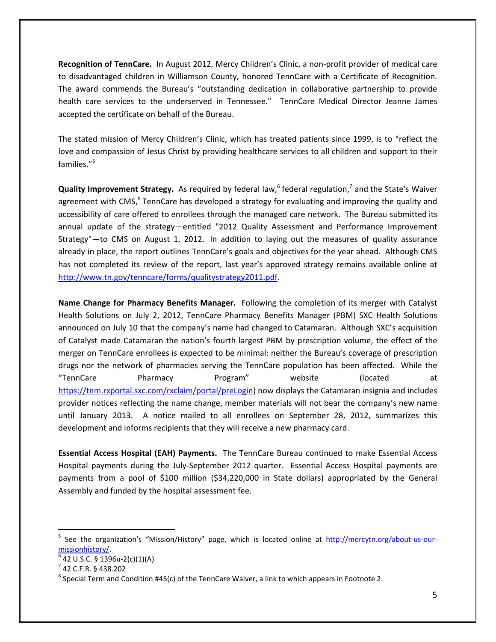**Recognition of TennCare.** In August 2012, Mercy Children's Clinic, a non‐profit provider of medical care to disadvantaged children in Williamson County, honored TennCare with a Certificate of Recognition. The award commends the Bureau's "outstanding dedication in collaborative partnership to provide health care services to the underserved in Tennessee." TennCare Medical Director Jeanne James accepted the certificate on behalf of the Bureau.

The stated mission of Mercy Children's Clinic, which has treated patients since 1999, is to "reflect the love and compassion of Jesus Christ by providing healthcare services to all children and support to their families."<sup>5</sup>

**Quality Improvement Strategy.** As required by federal law,<sup>6</sup> federal regulation,<sup>7</sup> and the State's Waiver agreement with CMS, ${}^{8}$  TennCare has developed a strategy for evaluating and improving the quality and accessibility of care offered to enrollees through the managed care network. The Bureau submitted its annual update of the strategy—entitled "2012 Quality Assessment and Performance Improvement Strategy"—to CMS on August 1, 2012. In addition to laying out the measures of quality assurance already in place, the report outlines TennCare's goals and objectives for the year ahead. Although CMS has not completed its review of the report, last year's approved strategy remains available online at http://www.tn.gov/tenncare/forms/qualitystrategy2011.pdf.

**Name Change for Pharmacy Benefits Manager.** Following the completion of its merger with Catalyst Health Solutions on July 2, 2012, TennCare Pharmacy Benefits Manager (PBM) SXC Health Solutions announced on July 10 that the company's name had changed to Catamaran. Although SXC's acquisition of Catalyst made Catamaran the nation's fourth largest PBM by prescription volume, the effect of the merger on TennCare enrollees is expected to be minimal: neither the Bureau's coverage of prescription drugs nor the network of pharmacies serving the TennCare population has been affected. While the "TennCare Pharmacy Program" website (located at https://tnm.rxportal.sxc.com/rxclaim/portal/preLogin) now displays the Catamaran insignia and includes provider notices reflecting the name change, member materials will not bear the company's new name until January 2013. A notice mailed to all enrollees on September 28, 2012, summarizes this development and informs recipients that they will receive a new pharmacy card.

**Essential Access Hospital (EAH) Payments.** The TennCare Bureau continued to make Essential Access Hospital payments during the July-September 2012 quarter. Essential Access Hospital payments are payments from a pool of \$100 million (\$34,220,000 in State dollars) appropriated by the General Assembly and funded by the hospital assessment fee.

<sup>&</sup>lt;sup>5</sup> See the organization's "Mission/History" page, which is located online at http://mercytn.org/about-us-our- $\frac{\text{missionhistory/}}{6}$ <br> $\frac{1}{2}$  42 U.S.C. § 1396u-2(c)(1)(A)<br><sup>7</sup> 42 C.F.R. § 438.202<br><sup>8</sup> Special Term and Condition #45(c) of the TennCare Waiver, a link to which appears in Footnote 2.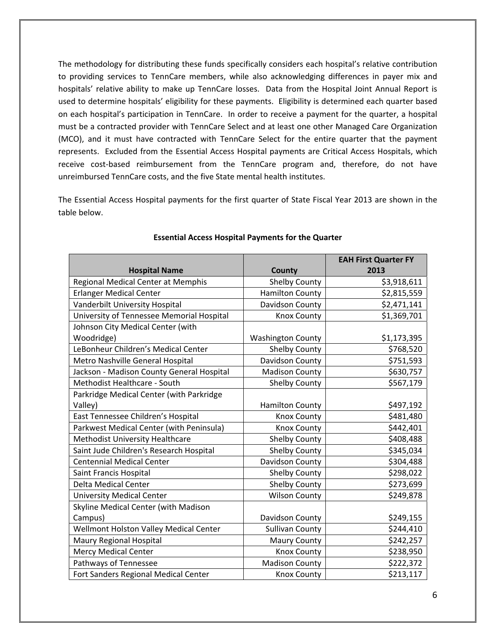The methodology for distributing these funds specifically considers each hospital's relative contribution to providing services to TennCare members, while also acknowledging differences in payer mix and hospitals' relative ability to make up TennCare losses. Data from the Hospital Joint Annual Report is used to determine hospitals' eligibility for these payments. Eligibility is determined each quarter based on each hospital's participation in TennCare. In order to receive a payment for the quarter, a hospital must be a contracted provider with TennCare Select and at least one other Managed Care Organization (MCO), and it must have contracted with TennCare Select for the entire quarter that the payment represents. Excluded from the Essential Access Hospital payments are Critical Access Hospitals, which receive cost-based reimbursement from the TennCare program and, therefore, do not have unreimbursed TennCare costs, and the five State mental health institutes.

The Essential Access Hospital payments for the first quarter of State Fiscal Year 2013 are shown in the table below.

|                                           |                          | <b>EAH First Quarter FY</b> |
|-------------------------------------------|--------------------------|-----------------------------|
| <b>Hospital Name</b>                      | <b>County</b>            | 2013                        |
| Regional Medical Center at Memphis        | <b>Shelby County</b>     | \$3,918,611                 |
| <b>Erlanger Medical Center</b>            | <b>Hamilton County</b>   | \$2,815,559                 |
| Vanderbilt University Hospital            | Davidson County          | \$2,471,141                 |
| University of Tennessee Memorial Hospital | <b>Knox County</b>       | \$1,369,701                 |
| Johnson City Medical Center (with         |                          |                             |
| Woodridge)                                | <b>Washington County</b> | \$1,173,395                 |
| LeBonheur Children's Medical Center       | Shelby County            | \$768,520                   |
| Metro Nashville General Hospital          | Davidson County          | \$751,593                   |
| Jackson - Madison County General Hospital | <b>Madison County</b>    | \$630,757                   |
| Methodist Healthcare - South              | Shelby County            | \$567,179                   |
| Parkridge Medical Center (with Parkridge  |                          |                             |
| Valley)                                   | <b>Hamilton County</b>   | \$497,192                   |
| East Tennessee Children's Hospital        | <b>Knox County</b>       | \$481,480                   |
| Parkwest Medical Center (with Peninsula)  | <b>Knox County</b>       | \$442,401                   |
| <b>Methodist University Healthcare</b>    | <b>Shelby County</b>     | \$408,488                   |
| Saint Jude Children's Research Hospital   | Shelby County            | \$345,034                   |
| <b>Centennial Medical Center</b>          | Davidson County          | \$304,488                   |
| Saint Francis Hospital                    | <b>Shelby County</b>     | \$298,022                   |
| <b>Delta Medical Center</b>               | <b>Shelby County</b>     | \$273,699                   |
| <b>University Medical Center</b>          | <b>Wilson County</b>     | \$249,878                   |
| Skyline Medical Center (with Madison      |                          |                             |
| Campus)                                   | Davidson County          | \$249,155                   |
| Wellmont Holston Valley Medical Center    | <b>Sullivan County</b>   | \$244,410                   |
| Maury Regional Hospital                   | <b>Maury County</b>      | \$242,257                   |
| <b>Mercy Medical Center</b>               | Knox County              | \$238,950                   |
| Pathways of Tennessee                     | <b>Madison County</b>    | \$222,372                   |
| Fort Sanders Regional Medical Center      | <b>Knox County</b>       | \$213,117                   |

#### **Essential Access Hospital Payments for the Quarter**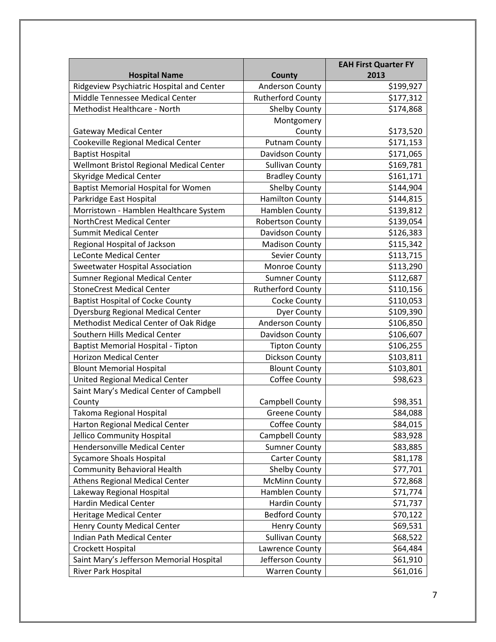|                                            |                          | <b>EAH First Quarter FY</b> |
|--------------------------------------------|--------------------------|-----------------------------|
| <b>Hospital Name</b>                       | County                   | 2013                        |
| Ridgeview Psychiatric Hospital and Center  | <b>Anderson County</b>   | \$199,927                   |
| Middle Tennessee Medical Center            | <b>Rutherford County</b> | \$177,312                   |
| Methodist Healthcare - North               | <b>Shelby County</b>     | \$174,868                   |
|                                            | Montgomery               |                             |
| <b>Gateway Medical Center</b>              | County                   | \$173,520                   |
| Cookeville Regional Medical Center         | <b>Putnam County</b>     | \$171,153                   |
| <b>Baptist Hospital</b>                    | Davidson County          | \$171,065                   |
| Wellmont Bristol Regional Medical Center   | <b>Sullivan County</b>   | \$169,781                   |
| <b>Skyridge Medical Center</b>             | <b>Bradley County</b>    | \$161,171                   |
| <b>Baptist Memorial Hospital for Women</b> | <b>Shelby County</b>     | \$144,904                   |
| Parkridge East Hospital                    | <b>Hamilton County</b>   | \$144,815                   |
| Morristown - Hamblen Healthcare System     | Hamblen County           | \$139,812                   |
| <b>NorthCrest Medical Center</b>           | Robertson County         | \$139,054                   |
| <b>Summit Medical Center</b>               | Davidson County          | \$126,383                   |
| Regional Hospital of Jackson               | <b>Madison County</b>    | \$115,342                   |
| <b>LeConte Medical Center</b>              | Sevier County            | \$113,715                   |
| <b>Sweetwater Hospital Association</b>     | Monroe County            | \$113,290                   |
| <b>Sumner Regional Medical Center</b>      | <b>Sumner County</b>     | \$112,687                   |
| <b>StoneCrest Medical Center</b>           | <b>Rutherford County</b> | \$110,156                   |
| <b>Baptist Hospital of Cocke County</b>    | Cocke County             | \$110,053                   |
| <b>Dyersburg Regional Medical Center</b>   | <b>Dyer County</b>       | \$109,390                   |
| Methodist Medical Center of Oak Ridge      | <b>Anderson County</b>   | \$106,850                   |
| Southern Hills Medical Center              | Davidson County          | \$106,607                   |
| <b>Baptist Memorial Hospital - Tipton</b>  | <b>Tipton County</b>     | \$106,255                   |
| <b>Horizon Medical Center</b>              | Dickson County           | \$103,811                   |
| <b>Blount Memorial Hospital</b>            | <b>Blount County</b>     | \$103,801                   |
| <b>United Regional Medical Center</b>      | Coffee County            | \$98,623                    |
| Saint Mary's Medical Center of Campbell    |                          |                             |
| County                                     | Campbell County          | \$98,351                    |
| Takoma Regional Hospital                   | <b>Greene County</b>     | \$84,088                    |
| Harton Regional Medical Center             | Coffee County            | \$84,015                    |
| Jellico Community Hospital                 | Campbell County          | \$83,928                    |
| Hendersonville Medical Center              | <b>Sumner County</b>     | \$83,885                    |
| <b>Sycamore Shoals Hospital</b>            | <b>Carter County</b>     | \$81,178                    |
| <b>Community Behavioral Health</b>         | <b>Shelby County</b>     | \$77,701                    |
| Athens Regional Medical Center             | <b>McMinn County</b>     | \$72,868                    |
| Lakeway Regional Hospital                  | Hamblen County           | \$71,774                    |
| Hardin Medical Center                      | Hardin County            | \$71,737                    |
| <b>Heritage Medical Center</b>             | <b>Bedford County</b>    | \$70,122                    |
| Henry County Medical Center                | <b>Henry County</b>      | \$69,531                    |
| Indian Path Medical Center                 | <b>Sullivan County</b>   | \$68,522                    |
| Crockett Hospital                          | Lawrence County          | \$64,484                    |
| Saint Mary's Jefferson Memorial Hospital   | Jefferson County         | \$61,910                    |
| River Park Hospital                        | <b>Warren County</b>     | \$61,016                    |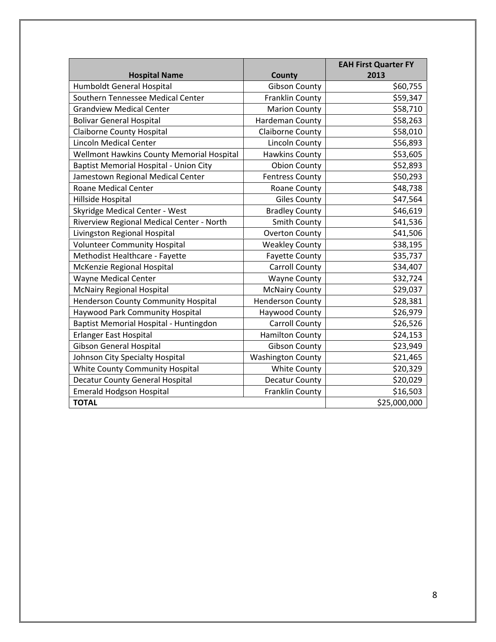|                                               |                          | <b>EAH First Quarter FY</b> |
|-----------------------------------------------|--------------------------|-----------------------------|
| <b>Hospital Name</b>                          | <b>County</b>            | 2013                        |
| Humboldt General Hospital                     | <b>Gibson County</b>     | \$60,755                    |
| Southern Tennessee Medical Center             | Franklin County          | \$59,347                    |
| <b>Grandview Medical Center</b>               | <b>Marion County</b>     | \$58,710                    |
| <b>Bolivar General Hospital</b>               | Hardeman County          | \$58,263                    |
| <b>Claiborne County Hospital</b>              | <b>Claiborne County</b>  | \$58,010                    |
| <b>Lincoln Medical Center</b>                 | <b>Lincoln County</b>    | \$56,893                    |
| Wellmont Hawkins County Memorial Hospital     | <b>Hawkins County</b>    | \$53,605                    |
| <b>Baptist Memorial Hospital - Union City</b> | <b>Obion County</b>      | \$52,893                    |
| Jamestown Regional Medical Center             | <b>Fentress County</b>   | \$50,293                    |
| <b>Roane Medical Center</b>                   | Roane County             | \$48,738                    |
| Hillside Hospital                             | <b>Giles County</b>      | \$47,564                    |
| Skyridge Medical Center - West                | <b>Bradley County</b>    | \$46,619                    |
| Riverview Regional Medical Center - North     | <b>Smith County</b>      | \$41,536                    |
| Livingston Regional Hospital                  | <b>Overton County</b>    | \$41,506                    |
| <b>Volunteer Community Hospital</b>           | <b>Weakley County</b>    | \$38,195                    |
| Methodist Healthcare - Fayette                | <b>Fayette County</b>    | \$35,737                    |
| McKenzie Regional Hospital                    | <b>Carroll County</b>    | \$34,407                    |
| <b>Wayne Medical Center</b>                   | <b>Wayne County</b>      | \$32,724                    |
| <b>McNairy Regional Hospital</b>              | <b>McNairy County</b>    | \$29,037                    |
| <b>Henderson County Community Hospital</b>    | <b>Henderson County</b>  | \$28,381                    |
| <b>Haywood Park Community Hospital</b>        | Haywood County           | \$26,979                    |
| Baptist Memorial Hospital - Huntingdon        | <b>Carroll County</b>    | \$26,526                    |
| <b>Erlanger East Hospital</b>                 | <b>Hamilton County</b>   | \$24,153                    |
| Gibson General Hospital                       | <b>Gibson County</b>     | \$23,949                    |
| Johnson City Specialty Hospital               | <b>Washington County</b> | \$21,465                    |
| White County Community Hospital               | <b>White County</b>      | \$20,329                    |
| <b>Decatur County General Hospital</b>        | <b>Decatur County</b>    | \$20,029                    |
| <b>Emerald Hodgson Hospital</b>               | Franklin County          | \$16,503                    |
| <b>TOTAL</b>                                  |                          | \$25,000,000                |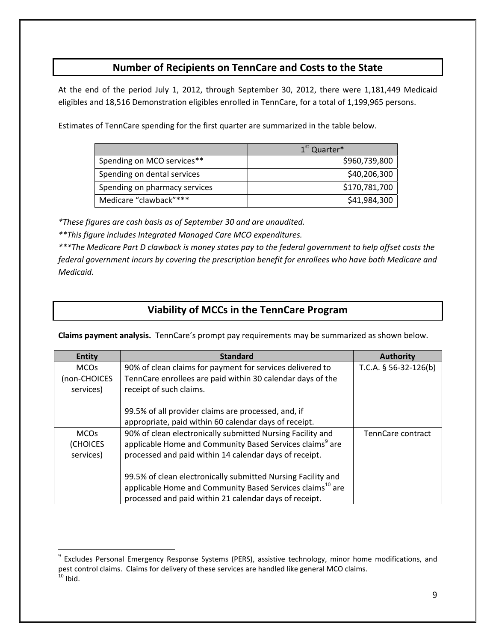## **Number of Recipients on TennCare and Costs to the State**

At the end of the period July 1, 2012, through September 30, 2012, there were 1,181,449 Medicaid eligibles and 18,516 Demonstration eligibles enrolled in TennCare, for a total of 1,199,965 persons.

Estimates of TennCare spending for the first quarter are summarized in the table below.

|                               | 1 <sup>st</sup> Quarter* |
|-------------------------------|--------------------------|
| Spending on MCO services**    | \$960,739,800            |
| Spending on dental services   | \$40,206,300             |
| Spending on pharmacy services | \$170,781,700            |
| Medicare "clawback"***        | \$41,984,300             |

*\*These figures are cash basis as of September 30 and are unaudited.*

*\*\*This figure includes Integrated Managed Care MCO expenditures.*

\*\*\*The Medicare Part D clawback is money states pay to the federal government to help offset costs the *federal government incurs by covering the prescription benefit for enrollees who have both Medicare and Medicaid.*

## **Viability of MCCs in the TennCare Program**

**Claims payment analysis.** TennCare's prompt pay requirements may be summarized as shown below.

| <b>Entity</b>             | <b>Standard</b>                                                                       | <b>Authority</b>        |
|---------------------------|---------------------------------------------------------------------------------------|-------------------------|
| <b>MCOs</b>               | 90% of clean claims for payment for services delivered to                             | T.C.A. $§$ 56-32-126(b) |
| (non-CHOICES<br>services) | TennCare enrollees are paid within 30 calendar days of the<br>receipt of such claims. |                         |
|                           | 99.5% of all provider claims are processed, and, if                                   |                         |
|                           | appropriate, paid within 60 calendar days of receipt.                                 |                         |
| <b>MCOs</b>               | 90% of clean electronically submitted Nursing Facility and                            | TennCare contract       |
| (CHOICES                  | applicable Home and Community Based Services claims <sup>9</sup> are                  |                         |
| services)                 | processed and paid within 14 calendar days of receipt.                                |                         |
|                           | 99.5% of clean electronically submitted Nursing Facility and                          |                         |
|                           | applicable Home and Community Based Services claims <sup>10</sup> are                 |                         |
|                           | processed and paid within 21 calendar days of receipt.                                |                         |

<sup>&</sup>lt;sup>9</sup> Excludes Personal Emergency Response Systems (PERS), assistive technology, minor home modifications, and pest control claims. Claims for delivery of these services are handled like general MCO claims.<br><sup>10</sup> Ibid.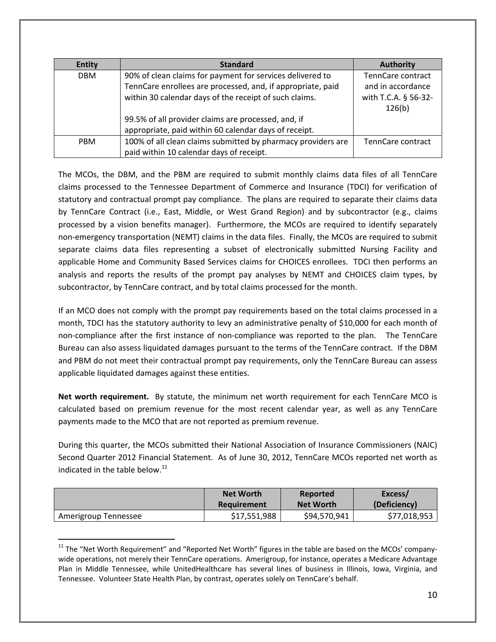| <b>Entity</b> | <b>Standard</b>                                              | <b>Authority</b>     |
|---------------|--------------------------------------------------------------|----------------------|
| <b>DBM</b>    | 90% of clean claims for payment for services delivered to    | TennCare contract    |
|               | TennCare enrollees are processed, and, if appropriate, paid  | and in accordance    |
|               | within 30 calendar days of the receipt of such claims.       | with T.C.A. § 56-32- |
|               |                                                              | 126(b)               |
|               | 99.5% of all provider claims are processed, and, if          |                      |
|               | appropriate, paid within 60 calendar days of receipt.        |                      |
| <b>PBM</b>    | 100% of all clean claims submitted by pharmacy providers are | TennCare contract    |
|               | paid within 10 calendar days of receipt.                     |                      |

The MCOs, the DBM, and the PBM are required to submit monthly claims data files of all TennCare claims processed to the Tennessee Department of Commerce and Insurance (TDCI) for verification of statutory and contractual prompt pay compliance. The plans are required to separate their claims data by TennCare Contract (i.e., East, Middle, or West Grand Region) and by subcontractor (e.g., claims processed by a vision benefits manager). Furthermore, the MCOs are required to identify separately non-emergency transportation (NEMT) claims in the data files. Finally, the MCOs are required to submit separate claims data files representing a subset of electronically submitted Nursing Facility and applicable Home and Community Based Services claims for CHOICES enrollees. TDCI then performs an analysis and reports the results of the prompt pay analyses by NEMT and CHOICES claim types, by subcontractor, by TennCare contract, and by total claims processed for the month.

If an MCO does not comply with the prompt pay requirements based on the total claims processed in a month, TDCI has the statutory authority to levy an administrative penalty of \$10,000 for each month of non-compliance after the first instance of non-compliance was reported to the plan. The TennCare Bureau can also assess liquidated damages pursuant to the terms of the TennCare contract. If the DBM and PBM do not meet their contractual prompt pay requirements, only the TennCare Bureau can assess applicable liquidated damages against these entities.

**Net worth requirement.** By statute, the minimum net worth requirement for each TennCare MCO is calculated based on premium revenue for the most recent calendar year, as well as any TennCare payments made to the MCO that are not reported as premium revenue.

During this quarter, the MCOs submitted their National Association of Insurance Commissioners (NAIC) Second Quarter 2012 Financial Statement. As of June 30, 2012, TennCare MCOs reported net worth as indicated in the table below. $^{11}$ 

|                      | <b>Net Worth</b> | Reported         | Excess/      |
|----------------------|------------------|------------------|--------------|
|                      | Requirement      | <b>Net Worth</b> | (Deficiency) |
| Amerigroup Tennessee | \$17,551,988     | \$94,570,941     | \$77,018,953 |

<sup>&</sup>lt;sup>11</sup> The "Net Worth Requirement" and "Reported Net Worth" figures in the table are based on the MCOs' companywide operations, not merely their TennCare operations. Amerigroup, for instance, operates a Medicare Advantage Plan in Middle Tennessee, while UnitedHealthcare has several lines of business in Illinois, Iowa, Virginia, and Tennessee. Volunteer State Health Plan, by contrast, operates solely on TennCare's behalf.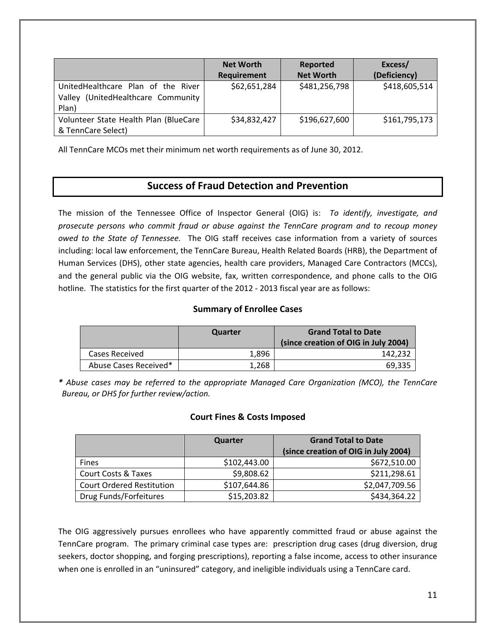|                                                                                   | <b>Net Worth</b><br>Requirement | Reported<br><b>Net Worth</b> | Excess/<br>(Deficiency) |
|-----------------------------------------------------------------------------------|---------------------------------|------------------------------|-------------------------|
| UnitedHealthcare Plan of the River<br>Valley (UnitedHealthcare Community<br>Plan) | \$62,651,284                    | \$481,256,798                | \$418,605,514           |
| Volunteer State Health Plan (BlueCare<br>& TennCare Select)                       | \$34,832,427                    | \$196,627,600                | \$161,795,173           |

All TennCare MCOs met their minimum net worth requirements as of June 30, 2012.

## **Success of Fraud Detection and Prevention**

The mission of the Tennessee Office of Inspector General (OIG) is: *To identify, investigate, and prosecute persons who commit fraud or abuse against the TennCare program and to recoup money owed to the State of Tennessee.*  The OIG staff receives case information from a variety of sources including: local law enforcement, the TennCare Bureau, Health Related Boards (HRB), the Department of Human Services (DHS), other state agencies, health care providers, Managed Care Contractors (MCCs), and the general public via the OIG website, fax, written correspondence, and phone calls to the OIG hotline. The statistics for the first quarter of the 2012 - 2013 fiscal year are as follows:

### **Summary of Enrollee Cases**

|                       | Quarter | <b>Grand Total to Date</b><br>(since creation of OIG in July 2004) |
|-----------------------|---------|--------------------------------------------------------------------|
| Cases Received        | 1.896   | 142.232                                                            |
| Abuse Cases Received* | 1.268   | 69,335                                                             |

*\* Abuse cases may be referred to the appropriate Managed Care Organization (MCO), the TennCare Bureau, or DHS for further review/action.*

#### **Court Fines & Costs Imposed**

|                                  | Quarter      | <b>Grand Total to Date</b>           |
|----------------------------------|--------------|--------------------------------------|
|                                  |              | (since creation of OIG in July 2004) |
| <b>Fines</b>                     | \$102,443.00 | \$672,510.00                         |
| Court Costs & Taxes              | \$9,808.62   | \$211,298.61                         |
| <b>Court Ordered Restitution</b> | \$107,644.86 | \$2,047,709.56                       |
| Drug Funds/Forfeitures           | \$15,203.82  | \$434,364.22                         |

The OIG aggressively pursues enrollees who have apparently committed fraud or abuse against the TennCare program. The primary criminal case types are: prescription drug cases (drug diversion, drug seekers, doctor shopping, and forging prescriptions), reporting a false income, access to other insurance when one is enrolled in an "uninsured" category, and ineligible individuals using a TennCare card.